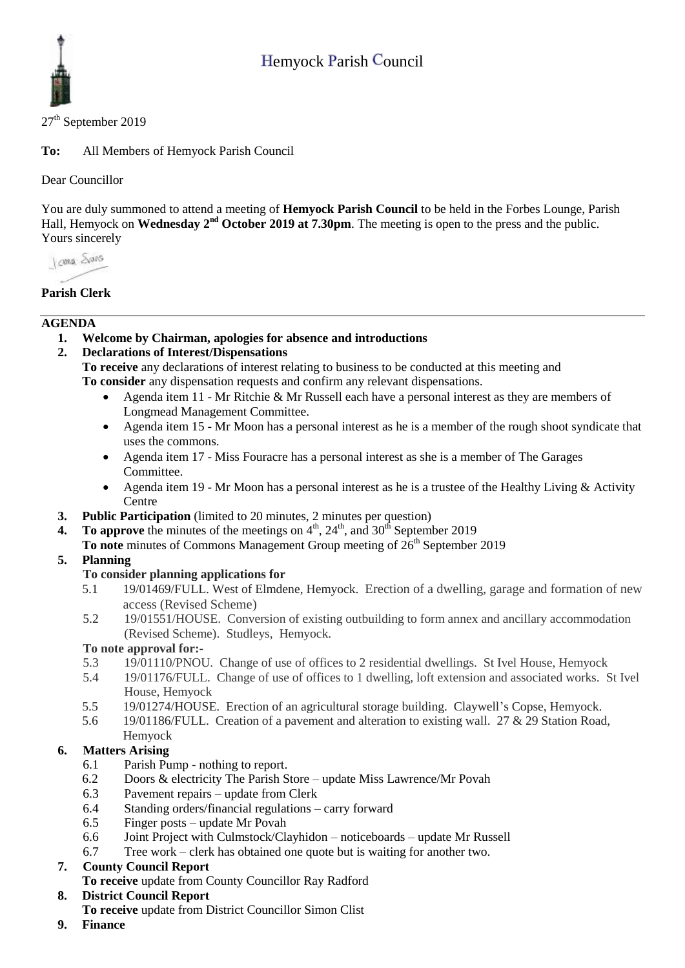

 $27<sup>th</sup>$  September 2019

**To:** All Members of Hemyock Parish Council

Dear Councillor

You are duly summoned to attend a meeting of **Hemyock Parish Council** to be held in the Forbes Lounge, Parish Hall, Hemyock on Wednesday 2<sup>nd</sup> October 2019 at 7.30pm. The meeting is open to the press and the public. Yours sincerely

I awa Shans

### **Parish Clerk**

#### **AGENDA**

**1. Welcome by Chairman, apologies for absence and introductions**

### **2. Declarations of Interest/Dispensations**

**To receive** any declarations of interest relating to business to be conducted at this meeting and **To consider** any dispensation requests and confirm any relevant dispensations.

- Agenda item 11 Mr Ritchie & Mr Russell each have a personal interest as they are members of Longmead Management Committee.
- Agenda item 15 Mr Moon has a personal interest as he is a member of the rough shoot syndicate that uses the commons.
- Agenda item 17 Miss Fouracre has a personal interest as she is a member of The Garages Committee.
- Agenda item 19 Mr Moon has a personal interest as he is a trustee of the Healthy Living & Activity **Centre**
- **3. Public Participation** (limited to 20 minutes, 2 minutes per question)
- **4.** To approve the minutes of the meetings on  $4<sup>th</sup>$ ,  $24<sup>th</sup>$ , and  $30<sup>th</sup>$  September 2019
- To note minutes of Commons Management Group meeting of 26<sup>th</sup> September 2019

### **5. Planning**

### **To consider planning applications for**

- 5.1 19/01469/FULL. West of Elmdene, Hemyock. Erection of a dwelling, garage and formation of new access (Revised Scheme)
- 5.2 19/01551/HOUSE. Conversion of existing outbuilding to form annex and ancillary accommodation (Revised Scheme). Studleys, Hemyock.

#### **To note approval for:-**

- 5.3 19/01110/PNOU. Change of use of offices to 2 residential dwellings. St Ivel House, Hemyock
- 5.4 19/01176/FULL. Change of use of offices to 1 dwelling, loft extension and associated works. St Ivel House, Hemyock
- 5.5 19/01274/HOUSE. Erection of an agricultural storage building. Claywell's Copse, Hemyock.
- 5.6 19/01186/FULL. Creation of a pavement and alteration to existing wall. 27 & 29 Station Road, Hemyock

### **6. Matters Arising**

- 6.1 Parish Pump nothing to report.
- 6.2 Doors & electricity The Parish Store update Miss Lawrence/Mr Povah
- 6.3 Pavement repairs update from Clerk
- 6.4 Standing orders/financial regulations carry forward
- 6.5 Finger posts update Mr Povah
- 6.6 Joint Project with Culmstock/Clayhidon noticeboards update Mr Russell
- 6.7 Tree work clerk has obtained one quote but is waiting for another two.

### **7. County Council Report**

**To receive** update from County Councillor Ray Radford

### **8. District Council Report**

- **To receive** update from District Councillor Simon Clist
- **9. Finance**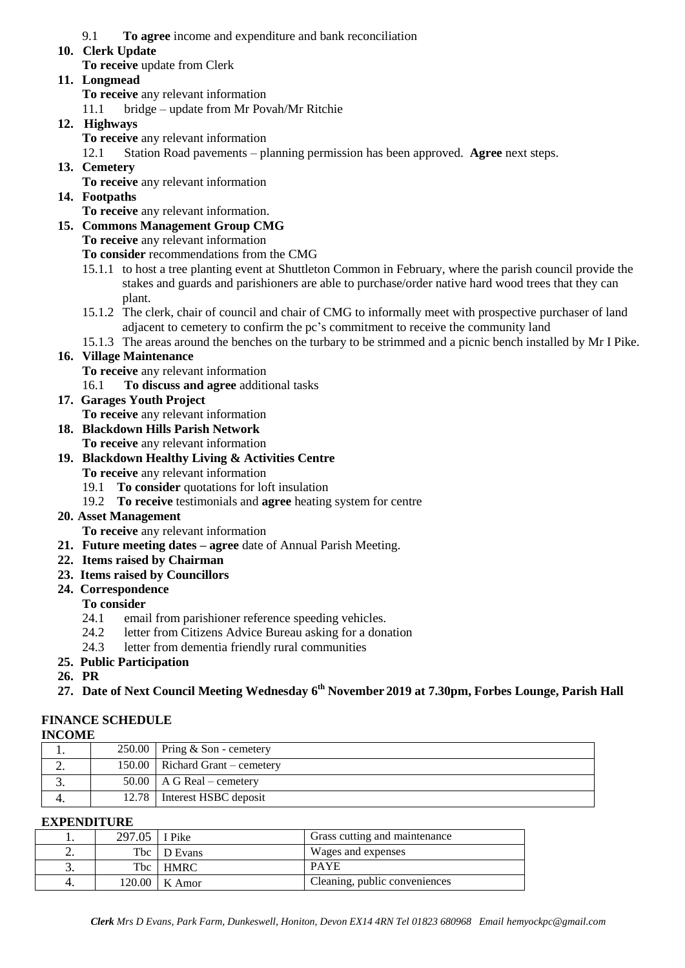### 9.1 **To agree** income and expenditure and bank reconciliation

#### **10. Clerk Update**

**To receive** update from Clerk

### **11. Longmead**

- **To receive** any relevant information
- 11.1 bridge update from Mr Povah/Mr Ritchie

## **12. Highways**

**To receive** any relevant information

12.1 Station Road pavements – planning permission has been approved. **Agree** next steps.

**13. Cemetery** 

**To receive** any relevant information

### **14. Footpaths**

**To receive** any relevant information.

- **15. Commons Management Group CMG**
	- **To receive** any relevant information

**To consider** recommendations from the CMG

- 15.1.1 to host a tree planting event at Shuttleton Common in February, where the parish council provide the stakes and guards and parishioners are able to purchase/order native hard wood trees that they can plant.
- 15.1.2 The clerk, chair of council and chair of CMG to informally meet with prospective purchaser of land adjacent to cemetery to confirm the pc's commitment to receive the community land
- 15.1.3 The areas around the benches on the turbary to be strimmed and a picnic bench installed by Mr I Pike.

#### **16. Village Maintenance**

**To receive** any relevant information

16.1 **To discuss and agree** additional tasks

**17. Garages Youth Project** 

**To receive** any relevant information

- **18. Blackdown Hills Parish Network**
	- **To receive** any relevant information
- **19. Blackdown Healthy Living & Activities Centre To receive** any relevant information
	- 19.1 **To consider** quotations for loft insulation
	- 19.2 **To receive** testimonials and **agree** heating system for centre
- **20. Asset Management**

**To receive** any relevant information

- **21. Future meeting dates – agree** date of Annual Parish Meeting.
- **22. Items raised by Chairman**
- **23. Items raised by Councillors**
- **24. Correspondence**

### **To consider**

- 24.1 email from parishioner reference speeding vehicles.
- 24.2 letter from Citizens Advice Bureau asking for a donation
- 24.3 letter from dementia friendly rural communities
- **25. Public Participation**
- **26. PR**
- **27. Date of Next Council Meeting Wednesday 6 th November 2019 at 7.30pm, Forbes Lounge, Parish Hall**

# **FINANCE SCHEDULE**

| --------- |  |                                     |  |  |
|-----------|--|-------------------------------------|--|--|
|           |  | $250.00$ Pring & Son - cemetery     |  |  |
| ـ.        |  | $150.00$   Richard Grant – cemetery |  |  |
|           |  | 50.00   A G Real – cemetery         |  |  |
| т.        |  | 12.78   Interest HSBC deposit       |  |  |
|           |  |                                     |  |  |

#### **EXPENDITURE**

|          | 297.05   I Pike |                 | Grass cutting and maintenance |
|----------|-----------------|-----------------|-------------------------------|
| <u>.</u> |                 | Tbc   D Evans   | Wages and expenses            |
| J.       |                 | Tbc   HMRC      | <b>PAYE</b>                   |
|          |                 | $120.00$ K Amor | Cleaning, public conveniences |